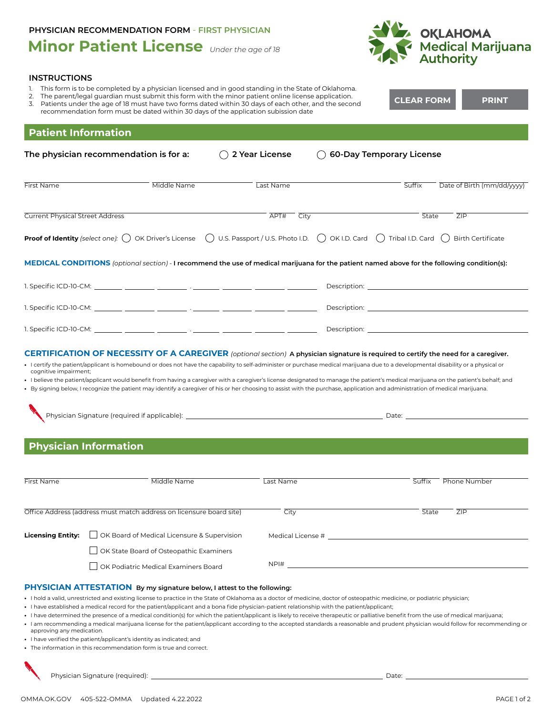## **Minor Patient License** *Under the age of 18* **PHYSICIAN RECOMMENDATION FORM - FIRST PHYSICIAN**

**INSTRUCTIONS**



| 2.<br>3.                               | This form is to be completed by a physician licensed and in good standing in the State of Oklahoma.<br>The parent/legal quardian must submit this form with the minor patient online license application.<br>Patients under the age of 18 must have two forms dated within 30 days of each other, and the second<br>recommendation form must be dated within 30 days of the application subission date                                                                                                                                                                                                                                                                                                                                                                                                                                                                                                                    |                |                                                                                                                | <b>CLEAR FORM</b>               | PRINT                                                                                                                                                                                                                          |
|----------------------------------------|---------------------------------------------------------------------------------------------------------------------------------------------------------------------------------------------------------------------------------------------------------------------------------------------------------------------------------------------------------------------------------------------------------------------------------------------------------------------------------------------------------------------------------------------------------------------------------------------------------------------------------------------------------------------------------------------------------------------------------------------------------------------------------------------------------------------------------------------------------------------------------------------------------------------------|----------------|----------------------------------------------------------------------------------------------------------------|---------------------------------|--------------------------------------------------------------------------------------------------------------------------------------------------------------------------------------------------------------------------------|
| <b>Patient Information</b>             |                                                                                                                                                                                                                                                                                                                                                                                                                                                                                                                                                                                                                                                                                                                                                                                                                                                                                                                           |                |                                                                                                                |                                 |                                                                                                                                                                                                                                |
|                                        | The physician recommendation is for a:                                                                                                                                                                                                                                                                                                                                                                                                                                                                                                                                                                                                                                                                                                                                                                                                                                                                                    | 2 Year License |                                                                                                                | <b>60-Day Temporary License</b> |                                                                                                                                                                                                                                |
| <b>First Name</b>                      | Middle Name                                                                                                                                                                                                                                                                                                                                                                                                                                                                                                                                                                                                                                                                                                                                                                                                                                                                                                               | Last Name      |                                                                                                                | Suffix                          | Date of Birth (mm/dd/yyyy)                                                                                                                                                                                                     |
| <b>Current Physical Street Address</b> |                                                                                                                                                                                                                                                                                                                                                                                                                                                                                                                                                                                                                                                                                                                                                                                                                                                                                                                           | APT#<br>City   |                                                                                                                | State                           | ZIP                                                                                                                                                                                                                            |
|                                        | <b>Proof of Identity</b> (select one): $\binom{ }{ }$ OK Driver's License $\binom{ }{ }$ U.S. Passport / U.S. Photo I.D. $\binom{ }{ }$ OK I.D. Card $\binom{ }{ }$ Tribal I.D. Card $\binom{ }{ }$                                                                                                                                                                                                                                                                                                                                                                                                                                                                                                                                                                                                                                                                                                                       |                |                                                                                                                |                                 | <b>Birth Certificate</b>                                                                                                                                                                                                       |
|                                        | MEDICAL CONDITIONS (optional section) - I recommend the use of medical marijuana for the patient named above for the following condition(s):                                                                                                                                                                                                                                                                                                                                                                                                                                                                                                                                                                                                                                                                                                                                                                              |                |                                                                                                                |                                 |                                                                                                                                                                                                                                |
|                                        |                                                                                                                                                                                                                                                                                                                                                                                                                                                                                                                                                                                                                                                                                                                                                                                                                                                                                                                           |                |                                                                                                                |                                 | Description: <b>Example 2018</b>                                                                                                                                                                                               |
|                                        |                                                                                                                                                                                                                                                                                                                                                                                                                                                                                                                                                                                                                                                                                                                                                                                                                                                                                                                           |                |                                                                                                                |                                 | Description: the contract of the contract of the contract of the contract of the contract of the contract of the contract of the contract of the contract of the contract of the contract of the contract of the contract of t |
|                                        |                                                                                                                                                                                                                                                                                                                                                                                                                                                                                                                                                                                                                                                                                                                                                                                                                                                                                                                           |                |                                                                                                                |                                 |                                                                                                                                                                                                                                |
|                                        | • I believe the patient/applicant would benefit from having a caregiver with a caregiver's license designated to manage the patient's medical marijuana on the patient's behalf; and<br>• By signing below, I recognize the patient may identify a caregiver of his or her choosing to assist with the purchase, application and administration of medical marijuana.<br><b>Physician Information</b>                                                                                                                                                                                                                                                                                                                                                                                                                                                                                                                     |                |                                                                                                                |                                 |                                                                                                                                                                                                                                |
| First Name                             | Middle Name                                                                                                                                                                                                                                                                                                                                                                                                                                                                                                                                                                                                                                                                                                                                                                                                                                                                                                               | Last Name      |                                                                                                                | Suffix                          | Phone Number                                                                                                                                                                                                                   |
|                                        | Office Address (address must match address on licensure board site)                                                                                                                                                                                                                                                                                                                                                                                                                                                                                                                                                                                                                                                                                                                                                                                                                                                       | City           |                                                                                                                | State                           | ZIP                                                                                                                                                                                                                            |
| <b>Licensing Entity:</b>               | OK Board of Medical Licensure & Supervision<br>OK State Board of Osteopathic Examiners<br>OK Podiatric Medical Examiners Board                                                                                                                                                                                                                                                                                                                                                                                                                                                                                                                                                                                                                                                                                                                                                                                            |                | Medical License # 2009 and 2009 and 2009 and 2009 and 2009 and 2009 and 2009 and 2009 and 2009 and 2009 and 20 |                                 |                                                                                                                                                                                                                                |
| approving any medication.              | PHYSICIAN ATTESTATION By my signature below, I attest to the following:<br>• I hold a valid, unrestricted and existing license to practice in the State of Oklahoma as a doctor of medicine, doctor of osteopathic medicine, or podiatric physician;<br>I have established a medical record for the patient/applicant and a bona fide physician-patient relationship with the patient/applicant;<br>• I have determined the presence of a medical condition(s) for which the patient/applicant is likely to receive therapeutic or palliative benefit from the use of medical marijuana;<br>I am recommending a medical marijuana license for the patient/applicant according to the accepted standards a reasonable and prudent physician would follow for recommending or<br>• I have verified the patient/applicant's identity as indicated; and<br>• The information in this recommendation form is true and correct. |                |                                                                                                                |                                 |                                                                                                                                                                                                                                |
|                                        |                                                                                                                                                                                                                                                                                                                                                                                                                                                                                                                                                                                                                                                                                                                                                                                                                                                                                                                           |                |                                                                                                                | Date:                           |                                                                                                                                                                                                                                |